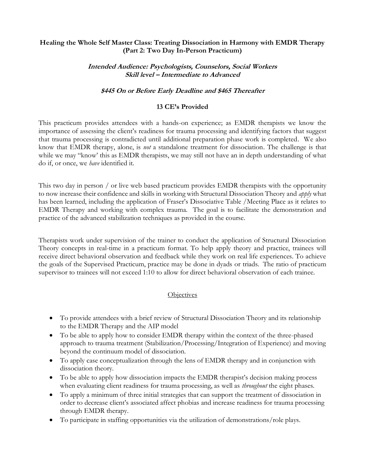# **Healing the Whole Self Master Class: Treating Dissociation in Harmony with EMDR Therapy (Part 2: Two Day In-Person Practicum)**

# **Intended Audience: Psychologists, Counselors, Social Workers Skill level – Intermediate to Advanced**

### **\$445 On or Before Early Deadline and \$465 Thereafter**

### **13 CE's Provided**

This practicum provides attendees with a hands-on experience; as EMDR therapists we know the importance of assessing the client's readiness for trauma processing and identifying factors that suggest that trauma processing is contradicted until additional preparation phase work is completed. We also know that EMDR therapy, alone, is *not* a standalone treatment for dissociation. The challenge is that while we may "know' this as EMDR therapists, we may still not have an in depth understanding of what do if, or once, we *have* identified it.

This two day in person / or live web based practicum provides EMDR therapists with the opportunity to now increase their confidence and skills in working with Structural Dissociation Theory and *apply* what has been learned, including the application of Fraser's Dissociative Table /Meeting Place as it relates to EMDR Therapy and working with complex trauma. The goal is to facilitate the demonstration and practice of the advanced stabilization techniques as provided in the course.

Therapists work under supervision of the trainer to conduct the application of Structural Dissociation Theory concepts in real-time in a practicum format. To help apply theory and practice, trainees will receive direct behavioral observation and feedback while they work on real life experiences. To achieve the goals of the Supervised Practicum, practice may be done in dyads or triads. The ratio of practicum supervisor to trainees will not exceed 1:10 to allow for direct behavioral observation of each trainee.

#### **Objectives**

- To provide attendees with a brief review of Structural Dissociation Theory and its relationship to the EMDR Therapy and the AIP model
- To be able to apply how to consider EMDR therapy within the context of the three-phased approach to trauma treatment (Stabilization/Processing/Integration of Experience) and moving beyond the continuum model of dissociation.
- To apply case conceptualization through the lens of EMDR therapy and in conjunction with dissociation theory.
- To be able to apply how dissociation impacts the EMDR therapist's decision making process when evaluating client readiness for trauma processing, as well as *throughout* the eight phases.
- To apply a minimum of three initial strategies that can support the treatment of dissociation in order to decrease client's associated affect phobias and increase readiness for trauma processing through EMDR therapy.
- To participate in staffing opportunities via the utilization of demonstrations/role plays.